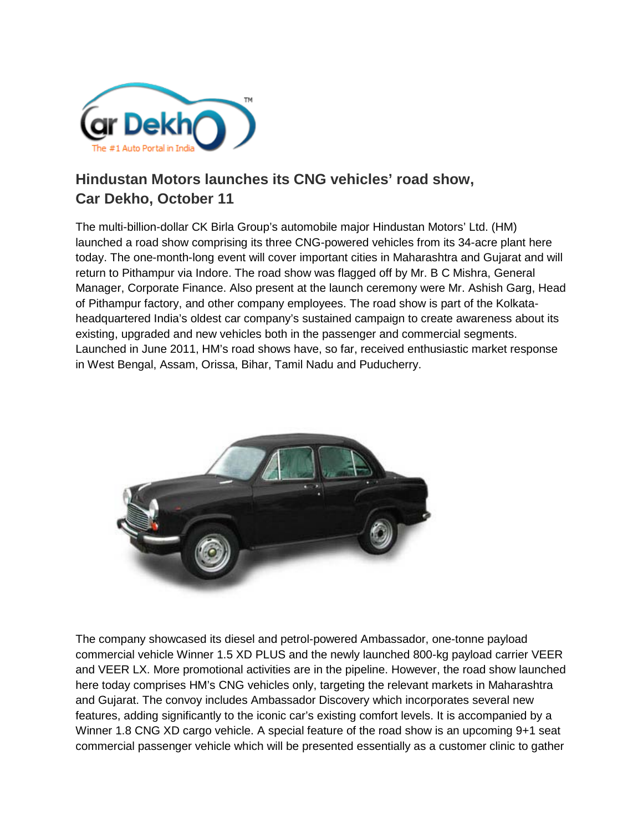

## **Hindustan Motors launches its CNG vehicles' road show, Car Dekho, October 11**

The multi-billion-dollar CK Birla Group's automobile major Hindustan Motors' Ltd. (HM) launched a road show comprising its three CNG-powered vehicles from its 34-acre plant here today. The one-month-long event will cover important cities in Maharashtra and Gujarat and will return to Pithampur via Indore. The road show was flagged off by Mr. B C Mishra, General Manager, Corporate Finance. Also present at the launch ceremony were Mr. Ashish Garg, Head of Pithampur factory, and other company employees. The road show is part of the Kolkataheadquartered India's oldest car company's sustained campaign to create awareness about its existing, upgraded and new vehicles both in the passenger and commercial segments. Launched in June 2011, HM's road shows have, so far, received enthusiastic market response in West Bengal, Assam, Orissa, Bihar, Tamil Nadu and Puducherry.



The company showcased its diesel and petrol-powered Ambassador, one-tonne payload commercial vehicle Winner 1.5 XD PLUS and the newly launched 800-kg payload carrier VEER and VEER LX. More promotional activities are in the pipeline. However, the road show launched here today comprises HM's CNG vehicles only, targeting the relevant markets in Maharashtra and Gujarat. The convoy includes Ambassador Discovery which incorporates several new features, adding significantly to the iconic car's existing comfort levels. It is accompanied by a Winner 1.8 CNG XD cargo vehicle. A special feature of the road show is an upcoming 9+1 seat commercial passenger vehicle which will be presented essentially as a customer clinic to gather